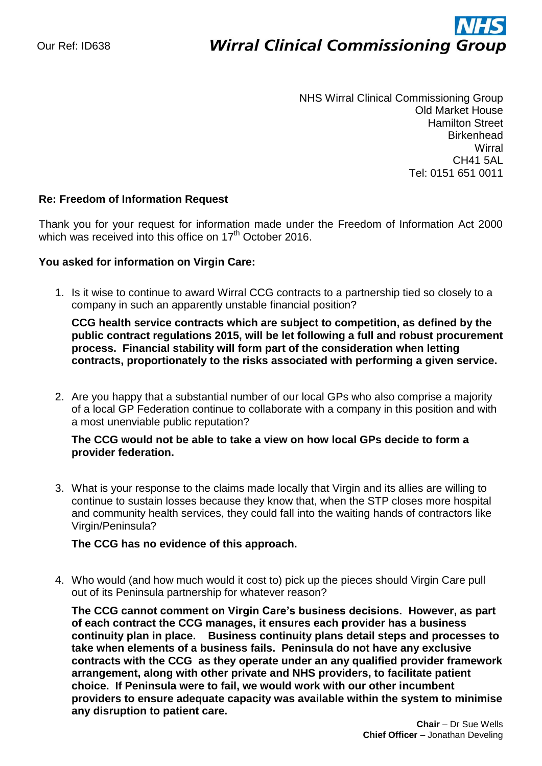# ì **Wirral Clinical Commissioning Group**

NHS Wirral Clinical Commissioning Group Old Market House Hamilton Street **Birkenhead Wirral** CH41 5AL Tel: 0151 651 0011

## **Re: Freedom of Information Request**

Thank you for your request for information made under the Freedom of Information Act 2000 which was received into this office on  $17<sup>th</sup>$  October 2016.

## **You asked for information on Virgin Care:**

1. Is it wise to continue to award Wirral CCG contracts to a partnership tied so closely to a company in such an apparently unstable financial position?

**CCG health service contracts which are subject to competition, as defined by the public contract regulations 2015, will be let following a full and robust procurement process. Financial stability will form part of the consideration when letting contracts, proportionately to the risks associated with performing a given service.**

2. Are you happy that a substantial number of our local GPs who also comprise a majority of a local GP Federation continue to collaborate with a company in this position and with a most unenviable public reputation?

## **The CCG would not be able to take a view on how local GPs decide to form a provider federation.**

3. What is your response to the claims made locally that Virgin and its allies are willing to continue to sustain losses because they know that, when the STP closes more hospital and community health services, they could fall into the waiting hands of contractors like Virgin/Peninsula?

#### **The CCG has no evidence of this approach.**

4. Who would (and how much would it cost to) pick up the pieces should Virgin Care pull out of its Peninsula partnership for whatever reason?

**The CCG cannot comment on Virgin Care's business decisions. However, as part of each contract the CCG manages, it ensures each provider has a business continuity plan in place. Business continuity plans detail steps and processes to take when elements of a business fails. Peninsula do not have any exclusive contracts with the CCG as they operate under an any qualified provider framework arrangement, along with other private and NHS providers, to facilitate patient choice. If Peninsula were to fail, we would work with our other incumbent providers to ensure adequate capacity was available within the system to minimise any disruption to patient care.**